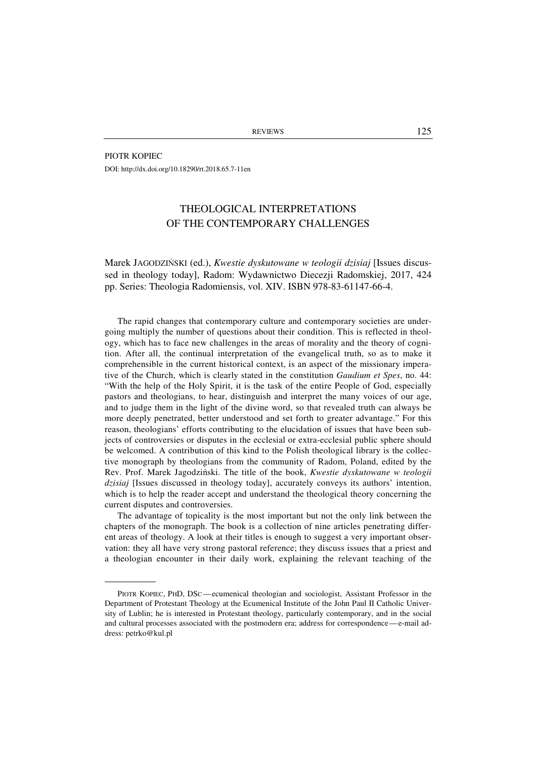PIOTR KOPIEC DOI: http://dx.doi.org/10.18290/rt.2018.65.7-11en

## THEOLOGICAL INTERPRETATIONS OF THE CONTEMPORARY CHALLENGES

Marek JAGODZIŃSKI (ed.), *Kwestie dyskutowane w teologii dzisiaj* [Issues discussed in theology today], Radom: Wydawnictwo Diecezji Radomskiej, 2017, 424 pp. Series: Theologia Radomiensis, vol. XIV. ISBN 978-83-61147-66-4.

The rapid changes that contemporary culture and contemporary societies are undergoing multiply the number of questions about their condition. This is reflected in theology, which has to face new challenges in the areas of morality and the theory of cognition. After all, the continual interpretation of the evangelical truth, so as to make it comprehensible in the current historical context, is an aspect of the missionary imperative of the Church, which is clearly stated in the constitution *Gaudium et Spes*, no. 44: "With the help of the Holy Spirit, it is the task of the entire People of God, especially pastors and theologians, to hear, distinguish and interpret the many voices of our age, and to judge them in the light of the divine word, so that revealed truth can always be more deeply penetrated, better understood and set forth to greater advantage." For this reason, theologians' efforts contributing to the elucidation of issues that have been subjects of controversies or disputes in the ecclesial or extra-ecclesial public sphere should be welcomed. A contribution of this kind to the Polish theological library is the collective monograph by theologians from the community of Radom, Poland, edited by the Rev. Prof. Marek Jagodziński. The title of the book, *Kwestie dyskutowane w teologii dzisiaj* [Issues discussed in theology today], accurately conveys its authors' intention, which is to help the reader accept and understand the theological theory concerning the current disputes and controversies.

The advantage of topicality is the most important but not the only link between the chapters of the monograph. The book is a collection of nine articles penetrating different areas of theology. A look at their titles is enough to suggest a very important observation: they all have very strong pastoral reference; they discuss issues that a priest and a theologian encounter in their daily work, explaining the relevant teaching of the

PIOTR KOPIEC, PHD, DSC—ecumenical theologian and sociologist, Assistant Professor in the Department of Protestant Theology at the Ecumenical Institute of the John Paul II Catholic University of Lublin; he is interested in Protestant theology, particularly contemporary, and in the social and cultural processes associated with the postmodern era; address for correspondence—e-mail address: petrko@kul.pl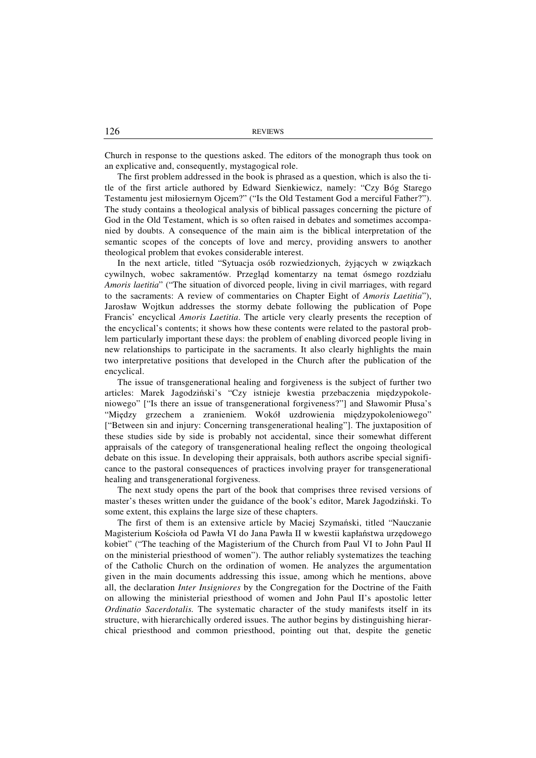Church in response to the questions asked. The editors of the monograph thus took on an explicative and, consequently, mystagogical role.

The first problem addressed in the book is phrased as a question, which is also the title of the first article authored by Edward Sienkiewicz, namely: "Czy Bóg Starego Testamentu jest miłosiernym Ojcem?" ("Is the Old Testament God a merciful Father?"). The study contains a theological analysis of biblical passages concerning the picture of God in the Old Testament, which is so often raised in debates and sometimes accompanied by doubts. A consequence of the main aim is the biblical interpretation of the semantic scopes of the concepts of love and mercy, providing answers to another theological problem that evokes considerable interest.

In the next article, titled "Sytuacja osób rozwiedzionych, żyjących w związkach cywilnych, wobec sakramentów. Przegląd komentarzy na temat ósmego rozdziału *Amoris laetitia*" ("The situation of divorced people, living in civil marriages, with regard to the sacraments: A review of commentaries on Chapter Eight of *Amoris Laetitia*"), Jarosław Wojtkun addresses the stormy debate following the publication of Pope Francis' encyclical *Amoris Laetitia*. The article very clearly presents the reception of the encyclical's contents; it shows how these contents were related to the pastoral problem particularly important these days: the problem of enabling divorced people living in new relationships to participate in the sacraments. It also clearly highlights the main two interpretative positions that developed in the Church after the publication of the encyclical.

The issue of transgenerational healing and forgiveness is the subject of further two articles: Marek Jagodziński's "Czy istnieje kwestia przebaczenia międzypokoleniowego" ["Is there an issue of transgenerational forgiveness?"] and Sławomir Płusa's "Między grzechem a zranieniem. Wokół uzdrowienia międzypokoleniowego" ["Between sin and injury: Concerning transgenerational healing"]. The juxtaposition of these studies side by side is probably not accidental, since their somewhat different appraisals of the category of transgenerational healing reflect the ongoing theological debate on this issue. In developing their appraisals, both authors ascribe special significance to the pastoral consequences of practices involving prayer for transgenerational healing and transgenerational forgiveness.

The next study opens the part of the book that comprises three revised versions of master's theses written under the guidance of the book's editor, Marek Jagodziński. To some extent, this explains the large size of these chapters.

The first of them is an extensive article by Maciej Szymański, titled "Nauczanie Magisterium Kościoła od Pawła VI do Jana Pawła II w kwestii kapłaństwa urzędowego kobiet" ("The teaching of the Magisterium of the Church from Paul VI to John Paul II on the ministerial priesthood of women"). The author reliably systematizes the teaching of the Catholic Church on the ordination of women. He analyzes the argumentation given in the main documents addressing this issue, among which he mentions, above all, the declaration *Inter Insigniores* by the Congregation for the Doctrine of the Faith on allowing the ministerial priesthood of women and John Paul II's apostolic letter *Ordinatio Sacerdotalis.* The systematic character of the study manifests itself in its structure, with hierarchically ordered issues. The author begins by distinguishing hierarchical priesthood and common priesthood, pointing out that, despite the genetic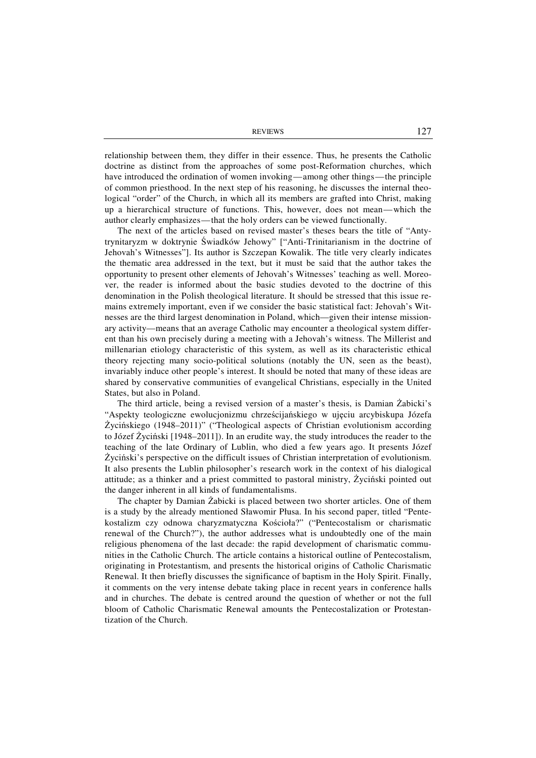REVIEWS 127

relationship between them, they differ in their essence. Thus, he presents the Catholic doctrine as distinct from the approaches of some post-Reformation churches, which have introduced the ordination of women invoking—among other things—the principle of common priesthood. In the next step of his reasoning, he discusses the internal theological "order" of the Church, in which all its members are grafted into Christ, making up a hierarchical structure of functions. This, however, does not mean—which the author clearly emphasizes—that the holy orders can be viewed functionally.

The next of the articles based on revised master's theses bears the title of "Antytrynitaryzm w doktrynie Świadków Jehowy" ["Anti-Trinitarianism in the doctrine of Jehovah's Witnesses"]. Its author is Szczepan Kowalik. The title very clearly indicates the thematic area addressed in the text, but it must be said that the author takes the opportunity to present other elements of Jehovah's Witnesses' teaching as well. Moreover, the reader is informed about the basic studies devoted to the doctrine of this denomination in the Polish theological literature. It should be stressed that this issue remains extremely important, even if we consider the basic statistical fact: Jehovah's Witnesses are the third largest denomination in Poland, which—given their intense missionary activity—means that an average Catholic may encounter a theological system different than his own precisely during a meeting with a Jehovah's witness. The Millerist and millenarian etiology characteristic of this system, as well as its characteristic ethical theory rejecting many socio-political solutions (notably the UN, seen as the beast), invariably induce other people's interest. It should be noted that many of these ideas are shared by conservative communities of evangelical Christians, especially in the United States, but also in Poland.

The third article, being a revised version of a master's thesis, is Damian Żabicki's "Aspekty teologiczne ewolucjonizmu chrześcijańskiego w ujęciu arcybiskupa Józefa Życińskiego (1948–2011)" ("Theological aspects of Christian evolutionism according to Józef Życiński [1948–2011]). In an erudite way, the study introduces the reader to the teaching of the late Ordinary of Lublin, who died a few years ago. It presents Józef Życiński's perspective on the difficult issues of Christian interpretation of evolutionism. It also presents the Lublin philosopher's research work in the context of his dialogical attitude; as a thinker and a priest committed to pastoral ministry, Życiński pointed out the danger inherent in all kinds of fundamentalisms.

The chapter by Damian Żabicki is placed between two shorter articles. One of them is a study by the already mentioned Sławomir Płusa. In his second paper, titled "Pentekostalizm czy odnowa charyzmatyczna Kościoła?" ("Pentecostalism or charismatic renewal of the Church?"), the author addresses what is undoubtedly one of the main religious phenomena of the last decade: the rapid development of charismatic communities in the Catholic Church. The article contains a historical outline of Pentecostalism, originating in Protestantism, and presents the historical origins of Catholic Charismatic Renewal. It then briefly discusses the significance of baptism in the Holy Spirit. Finally, it comments on the very intense debate taking place in recent years in conference halls and in churches. The debate is centred around the question of whether or not the full bloom of Catholic Charismatic Renewal amounts the Pentecostalization or Protestantization of the Church.